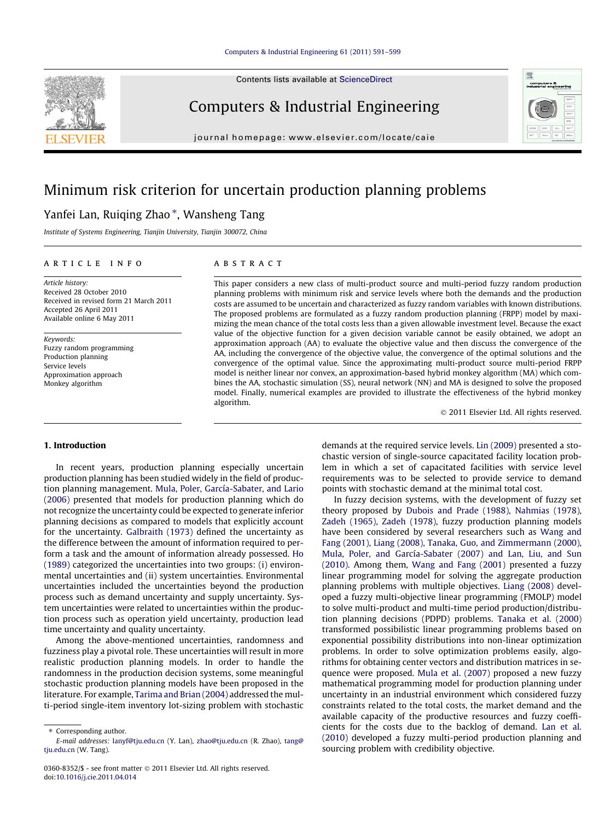

Contents lists available at [ScienceDirect](http://www.sciencedirect.com/science/journal/03608352)

### Computers & Industrial Engineering

journal homepage: [www.elsevier.com/locate/caie](http://www.elsevier.com/locate/caie)



## Minimum risk criterion for uncertain production planning problems

### Yanfei Lan, Ruiqing Zhao\*, Wansheng Tang

Institute of Systems Engineering, Tianjin University, Tianjin 300072, China

#### article info

Article history: Received 28 October 2010 Received in revised form 21 March 2011 Accepted 26 April 2011 Available online 6 May 2011

Keywords: Fuzzy random programming Production planning Service levels Approximation approach Monkey algorithm

#### **ABSTRACT**

This paper considers a new class of multi-product source and multi-period fuzzy random production planning problems with minimum risk and service levels where both the demands and the production costs are assumed to be uncertain and characterized as fuzzy random variables with known distributions. The proposed problems are formulated as a fuzzy random production planning (FRPP) model by maximizing the mean chance of the total costs less than a given allowable investment level. Because the exact value of the objective function for a given decision variable cannot be easily obtained, we adopt an approximation approach (AA) to evaluate the objective value and then discuss the convergence of the AA, including the convergence of the objective value, the convergence of the optimal solutions and the convergence of the optimal value. Since the approximating multi-product source multi-period FRPP model is neither linear nor convex, an approximation-based hybrid monkey algorithm (MA) which combines the AA, stochastic simulation (SS), neural network (NN) and MA is designed to solve the proposed model. Finally, numerical examples are provided to illustrate the effectiveness of the hybrid monkey algorithm.

- 2011 Elsevier Ltd. All rights reserved.

#### 1. Introduction

In recent years, production planning especially uncertain production planning has been studied widely in the field of production planning management. [Mula, Poler, García-Sabater, and Lario](#page--1-0) [\(2006\)](#page--1-0) presented that models for production planning which do not recognize the uncertainty could be expected to generate inferior planning decisions as compared to models that explicitly account for the uncertainty. [Galbraith \(1973\)](#page--1-0) defined the uncertainty as the difference between the amount of information required to perform a task and the amount of information already possessed. [Ho](#page--1-0) [\(1989\)](#page--1-0) categorized the uncertainties into two groups: (i) environmental uncertainties and (ii) system uncertainties. Environmental uncertainties included the uncertainties beyond the production process such as demand uncertainty and supply uncertainty. System uncertainties were related to uncertainties within the production process such as operation yield uncertainty, production lead time uncertainty and quality uncertainty.

Among the above-mentioned uncertainties, randomness and fuzziness play a pivotal role. These uncertainties will result in more realistic production planning models. In order to handle the randomness in the production decision systems, some meaningful stochastic production planning models have been proposed in the literature. For example, [Tarima and Brian \(2004\)](#page--1-0) addressed the multi-period single-item inventory lot-sizing problem with stochastic demands at the required service levels. [Lin \(2009\)](#page--1-0) presented a stochastic version of single-source capacitated facility location problem in which a set of capacitated facilities with service level requirements was to be selected to provide service to demand points with stochastic demand at the minimal total cost.

In fuzzy decision systems, with the development of fuzzy set theory proposed by [Dubois and Prade \(1988\), Nahmias \(1978\),](#page--1-0) [Zadeh \(1965\), Zadeh \(1978\),](#page--1-0) fuzzy production planning models have been considered by several researchers such as [Wang and](#page--1-0) [Fang \(2001\), Liang \(2008\), Tanaka, Guo, and Zimmermann \(2000\),](#page--1-0) [Mula, Poler, and García-Sabater \(2007\) and Lan, Liu, and Sun](#page--1-0) [\(2010\)](#page--1-0). Among them, [Wang and Fang \(2001\)](#page--1-0) presented a fuzzy linear programming model for solving the aggregate production planning problems with multiple objectives. [Liang \(2008\)](#page--1-0) developed a fuzzy multi-objective linear programming (FMOLP) model to solve multi-product and multi-time period production/distribution planning decisions (PDPD) problems. [Tanaka et al. \(2000\)](#page--1-0) transformed possibilistic linear programming problems based on exponential possibility distributions into non-linear optimization problems. In order to solve optimization problems easily, algorithms for obtaining center vectors and distribution matrices in sequence were proposed. [Mula et al. \(2007\)](#page--1-0) proposed a new fuzzy mathematical programming model for production planning under uncertainty in an industrial environment which considered fuzzy constraints related to the total costs, the market demand and the available capacity of the productive resources and fuzzy coefficients for the costs due to the backlog of demand. [Lan et al.](#page--1-0) [\(2010\)](#page--1-0) developed a fuzzy multi-period production planning and sourcing problem with credibility objective.

<sup>⇑</sup> Corresponding author.

E-mail addresses: [lanyf@tju.edu.cn](mailto:lanyf@tju.edu.cn) (Y. Lan), [zhao@tju.edu.cn](mailto:zhao@tju.edu.cn) (R. Zhao), [tang@](mailto:tang@ tju.edu.cn) tiu.edu.cn (W. Tang).

<sup>0360-8352/\$ -</sup> see front matter © 2011 Elsevier Ltd. All rights reserved. doi[:10.1016/j.cie.2011.04.014](http://dx.doi.org/10.1016/j.cie.2011.04.014)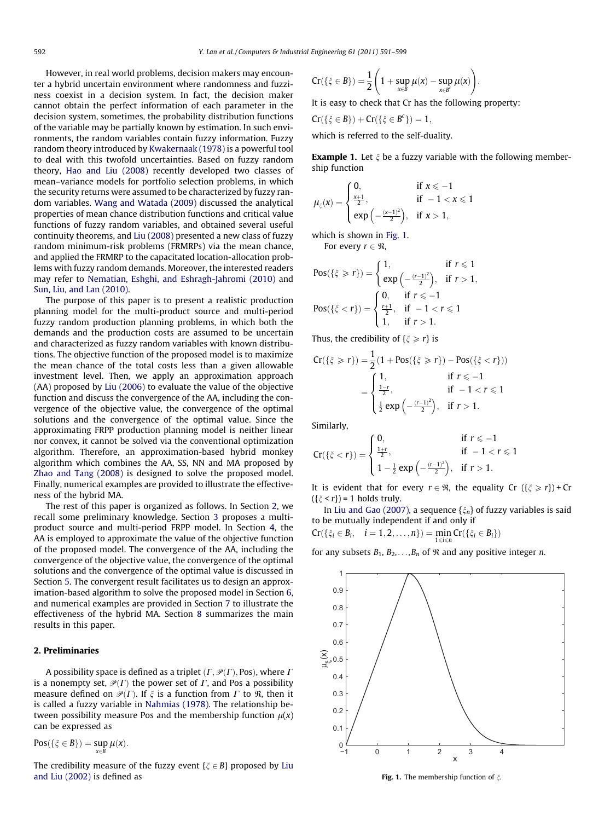However, in real world problems, decision makers may encounter a hybrid uncertain environment where randomness and fuzziness coexist in a decision system. In fact, the decision maker cannot obtain the perfect information of each parameter in the decision system, sometimes, the probability distribution functions of the variable may be partially known by estimation. In such environments, the random variables contain fuzzy information. Fuzzy random theory introduced by [Kwakernaak \(1978\)](#page--1-0) is a powerful tool to deal with this twofold uncertainties. Based on fuzzy random theory, [Hao and Liu \(2008\)](#page--1-0) recently developed two classes of mean–variance models for portfolio selection problems, in which the security returns were assumed to be characterized by fuzzy random variables. [Wang and Watada \(2009\)](#page--1-0) discussed the analytical properties of mean chance distribution functions and critical value functions of fuzzy random variables, and obtained several useful continuity theorems, and [Liu \(2008\)](#page--1-0) presented a new class of fuzzy random minimum-risk problems (FRMRPs) via the mean chance, and applied the FRMRP to the capacitated location-allocation problems with fuzzy random demands. Moreover, the interested readers may refer to [Nematian, Eshghi, and Eshragh-Jahromi \(2010\)](#page--1-0) and [Sun, Liu, and Lan \(2010\).](#page--1-0)

The purpose of this paper is to present a realistic production planning model for the multi-product source and multi-period fuzzy random production planning problems, in which both the demands and the production costs are assumed to be uncertain and characterized as fuzzy random variables with known distributions. The objective function of the proposed model is to maximize the mean chance of the total costs less than a given allowable investment level. Then, we apply an approximation approach (AA) proposed by [Liu \(2006\)](#page--1-0) to evaluate the value of the objective function and discuss the convergence of the AA, including the convergence of the objective value, the convergence of the optimal solutions and the convergence of the optimal value. Since the approximating FRPP production planning model is neither linear nor convex, it cannot be solved via the conventional optimization algorithm. Therefore, an approximation-based hybrid monkey algorithm which combines the AA, SS, NN and MA proposed by [Zhao and Tang \(2008\)](#page--1-0) is designed to solve the proposed model. Finally, numerical examples are provided to illustrate the effectiveness of the hybrid MA.

The rest of this paper is organized as follows. In Section 2, we recall some preliminary knowledge. Section [3](#page--1-0) proposes a multiproduct source and multi-period FRPP model. In Section [4,](#page--1-0) the AA is employed to approximate the value of the objective function of the proposed model. The convergence of the AA, including the convergence of the objective value, the convergence of the optimal solutions and the convergence of the optimal value is discussed in Section [5](#page--1-0). The convergent result facilitates us to design an approximation-based algorithm to solve the proposed model in Section [6,](#page--1-0) and numerical examples are provided in Section [7](#page--1-0) to illustrate the effectiveness of the hybrid MA. Section [8](#page--1-0) summarizes the main results in this paper.

#### 2. Preliminaries

A possibility space is defined as a triplet  $(\Gamma, \mathcal{P}(\Gamma), \text{Pos})$ , where  $\Gamma$ is a nonempty set,  $\mathcal{P}(\Gamma)$  the power set of  $\Gamma$ , and Pos a possibility measure defined on  $\mathcal{P}(\Gamma)$ . If  $\xi$  is a function from  $\Gamma$  to  $\Re$ , then it is called a fuzzy variable in [Nahmias \(1978\).](#page--1-0) The relationship between possibility measure Pos and the membership function  $\mu(x)$ can be expressed as

 $Pos({\xi \in B}) = sup \mu(x).$ 

 $x \in B$ 

The credibility measure of the fuzzy event  $\{\xi \in B\}$  proposed by [Liu](#page--1-0) [and Liu \(2002\)](#page--1-0) is defined as

$$
Cr(\{\xi \in \mathcal{B}\}) = \frac{1}{2}\left(1 + \sup_{x \in \mathcal{B}} \mu(x) - \sup_{x \in \mathcal{B}'} \mu(x)\right).
$$

It is easy to check that Cr has the following property:

$$
Cr(\{\xi\in B\})+Cr(\{\xi\in B^c\})=1,
$$

which is referred to the self-duality.

**Example 1.** Let  $\xi$  be a fuzzy variable with the following membership function

$$
\mu_\xi(x)=\begin{cases}0, &\text{if } x\leqslant-1\\ \frac{x+1}{2}, &\text{if }-1< x\leqslant 1\\ \exp\left(-\frac{(x-1)^2}{2}\right), &\text{if } x>1,\end{cases}
$$

which is shown in Fig. 1. 
$$
\blacksquare
$$

For every  $r \in \Re$ ,

$$
\text{Pos}(\{\xi \geq r\}) = \begin{cases} 1, & \text{if } r \leq 1 \\ \exp\left(-\frac{(r-1)^2}{2}\right), & \text{if } r > 1, \end{cases}
$$
\n
$$
\text{Pos}(\{\xi < r\}) = \begin{cases} 0, & \text{if } r \leq -1 \\ \frac{r+1}{2}, & \text{if } -1 < r \leq 1 \\ 1, & \text{if } r > 1. \end{cases}
$$

Thus, the credibility of  $\{\xi \ge r\}$  is

$$
Cr(\{\xi \ge r\}) = \frac{1}{2}(1 + \text{Pos}(\{\xi \ge r\}) - \text{Pos}(\{\xi < r\}))
$$
\n
$$
= \begin{cases} 1, & \text{if } r \le -1 \\ \frac{1-r}{2}, & \text{if } -1 < r \le 1 \\ \frac{1}{2}\exp\left(-\frac{(r-1)^2}{2}\right), & \text{if } r > 1. \end{cases}
$$

Similarly,

$$
Cr(\{\xi < r\}) = \begin{cases} 0, & \text{if } r \le -1 \\ \frac{1+r}{2}, & \text{if } -1 < r \le 1 \\ 1 - \frac{1}{2} \exp\left(-\frac{(r-1)^2}{2}\right), & \text{if } r > 1. \end{cases}
$$

It is evident that for every  $r \in \mathcal{R}$ , the equality Cr  $({\{\xi \geq r\}) + Cr$  $({\xi < r}) = 1$  holds truly.

In [Liu and Gao \(2007\)](#page--1-0), a sequence  $\{\xi_n\}$  of fuzzy variables is said to be mutually independent if and only if

 $Cr(\{\xi_i \in B_i, \quad i = 1, 2, ..., n\}) = \min_{1 \leq i \leq n} Cr(\{\xi_i \in B_i\})$ 

for any subsets  $B_1, B_2, \ldots, B_n$  of  $\Re$  and any positive integer *n*.



Fig. 1. The membership function of  $\xi$ .